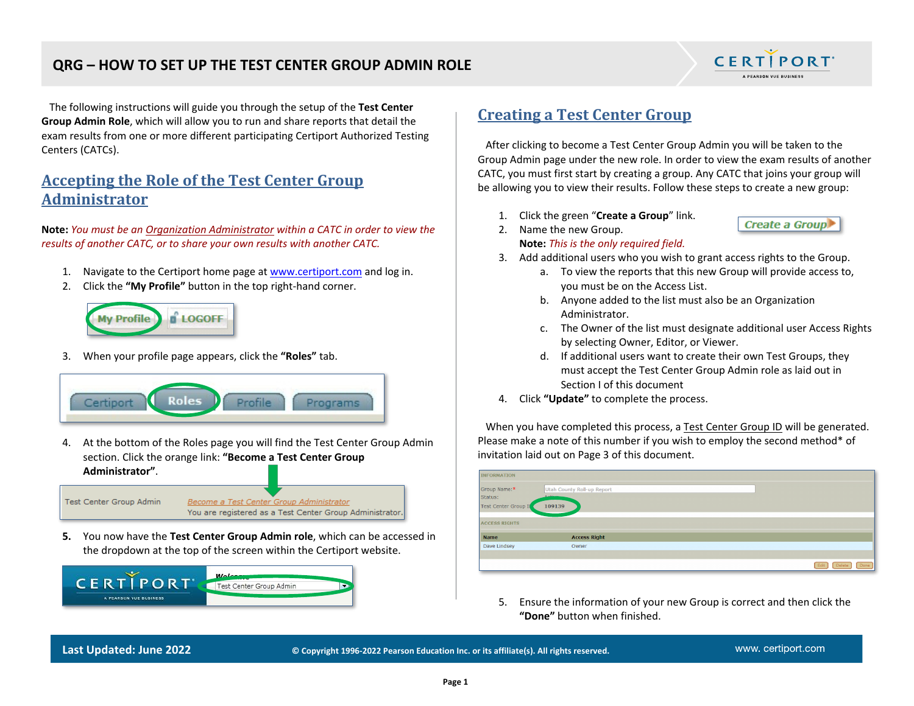## **QRG – HOW TO SET UP THE TEST CENTER GROUP ADMIN ROLE**



Create a Group

 The following instructions will guide you through the setup of the **Test Center Group Admin Role**, which will allow you to run and share reports that detail the exam results from one or more different participating Certiport Authorized Testing Centers (CATCs).

# **Accepting the Role of the Test Center Group Administrator**

**Note:** *You must be an Organization Administrator within a CATC in order to view the results of another CATC, or to share your own results with another CATC.*

- 1. Navigate to the Certiport home page at [www.certiport.com](https://portal.certiport.com/Login) and log in.
- 2. Click the **"My Profile"** button in the top right-hand corner.



3. When your profile page appears, click the **"Roles"** tab.



4. At the bottom of the Roles page you will find the Test Center Group Admin section. Click the orange link: **"Become a Test Center Group Administrator"**.

Test Center Group Admin

Become a Test Center Group Administrator You are registered as a Test Center Group Administrator.

**5.** You now have the **Test Center Group Admin role**, which can be accessed in the dropdown at the top of the screen within the Certiport website.



## **Creating a Test Center Group**

 After clicking to become a Test Center Group Admin you will be taken to the Group Admin page under the new role. In order to view the exam results of another CATC, you must first start by creating a group. Any CATC that joins your group will be allowing you to view their results. Follow these steps to create a new group:

- 1. Click the green "**Create a Group**" link.
- 2. Name the new Group. **Note:** *This is the only required field.*
- 3. Add additional users who you wish to grant access rights to the Group.
	- a. To view the reports that this new Group will provide access to, you must be on the Access List.
	- b. Anyone added to the list must also be an Organization Administrator.
	- c. The Owner of the list must designate additional user Access Rights by selecting Owner, Editor, or Viewer.
	- d. If additional users want to create their own Test Groups, they must accept the Test Center Group Admin role as laid out in Section I of this document
- 4. Click **"Update"** to complete the process.

 When you have completed this process, a Test Center Group ID will be generated. Please make a note of this number if you wish to employ the second method\* of invitation laid out on Page 3 of this document.

| <b>INFORMATION</b>                              |                                                 |                        |
|-------------------------------------------------|-------------------------------------------------|------------------------|
| Group Name:*<br>Status:<br>Test Center Group II | Utah County Roll-up Report<br>A china<br>109139 |                        |
| <b>ACCESS RIGHTS</b>                            |                                                 |                        |
| <b>Name</b>                                     | <b>Access Right</b>                             |                        |
| Dave Lindsey                                    | Owner                                           |                        |
|                                                 |                                                 |                        |
|                                                 |                                                 | Edit<br>Done<br>Delete |

5. Ensure the information of your new Group is correct and then click the **"Done"** button when finished.

**Last Updated: June 2022 © Copyright 1996-2022 Pearson Education Inc. or its affiliate(s). All rights reserved.**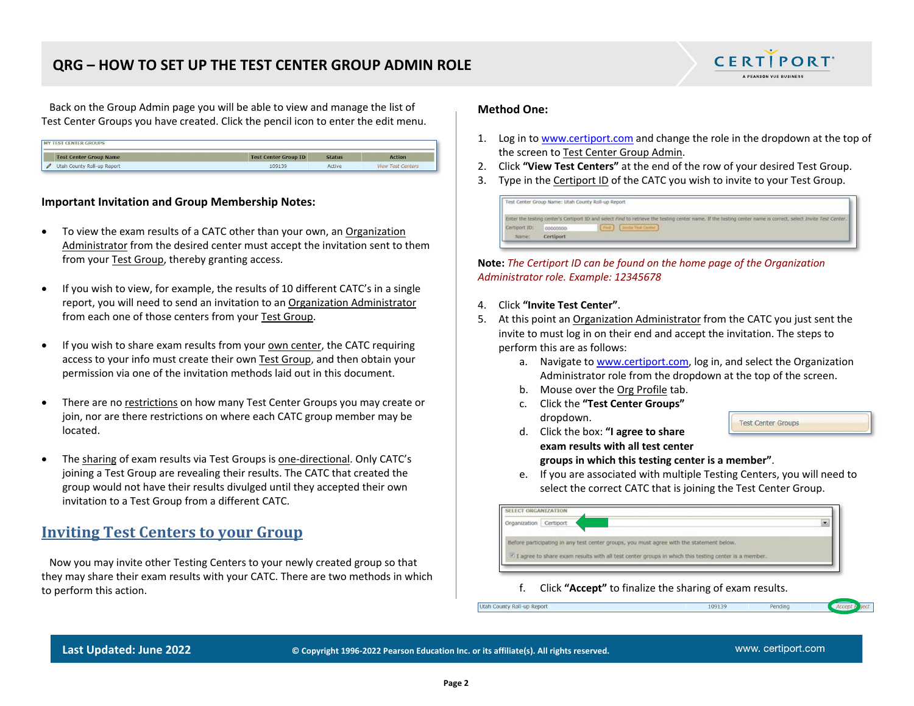## **QRG – HOW TO SET UP THE TEST CENTER GROUP ADMIN ROLE**



 Back on the Group Admin page you will be able to view and manage the list of Test Center Groups you have created. Click the pencil icon to enter the edit menu.

| <b>MY TEST CENTER GROUPS</b>  |                             |               |                          |
|-------------------------------|-----------------------------|---------------|--------------------------|
| <b>Test Center Group Name</b> | <b>Test Center Group ID</b> | <b>Status</b> | Action                   |
| Utah County Roll-up Report    | 109139                      | Active        | <b>View Test Centers</b> |

### **Important Invitation and Group Membership Notes:**

- To view the exam results of a CATC other than your own, an Organization Administrator from the desired center must accept the invitation sent to them from your Test Group, thereby granting access.
- If you wish to view, for example, the results of 10 different CATC's in a single report, you will need to send an invitation to an Organization Administrator from each one of those centers from your Test Group.
- If you wish to share exam results from your own center, the CATC requiring access to your info must create their own Test Group, and then obtain your permission via one of the invitation methods laid out in this document.
- There are no restrictions on how many Test Center Groups you may create or join, nor are there restrictions on where each CATC group member may be located.
- The sharing of exam results via Test Groups is one-directional. Only CATC's joining a Test Group are revealing their results. The CATC that created the group would not have their results divulged until they accepted their own invitation to a Test Group from a different CATC.

## **Inviting Test Centers to your Group**

 Now you may invite other Testing Centers to your newly created group so that they may share their exam results with your CATC. There are two methods in which to perform this action.

#### **Method One:**

- 1. Log in to [www.certiport.com](http://www.certiport.com/) and change the role in the dropdown at the top of the screen to Test Center Group Admin.
- 2. Click **"View Test Centers"** at the end of the row of your desired Test Group.
- 3. Type in the Certiport ID of the CATC you wish to invite to your Test Group.

|               | Test Center Group Name: Utah County Roll-up Report |                                                                                                                                                                |
|---------------|----------------------------------------------------|----------------------------------------------------------------------------------------------------------------------------------------------------------------|
|               |                                                    | Enter the testing center's Certiport ID and select Find to retrieve the testing center name. If the testing center name is correct, select Invite Test Center. |
| Certiport ID: | 00000000                                           | <b>Invite Test Center:</b>                                                                                                                                     |
| Name:         | Certiport                                          |                                                                                                                                                                |

**Note:** *The Certiport ID can be found on the home page of the Organization Administrator role. Example: 12345678*

- 4. Click **"Invite Test Center"**.
- 5. At this point an Organization Administrator from the CATC you just sent the invite to must log in on their end and accept the invitation. The steps to perform this are as follows:
	- a. Navigate to [www.certiport.com,](http://www.certiport.com/) log in, and select the Organization Administrator role from the dropdown at the top of the screen.
	- b. Mouse over the Org Profile tab.
	- c. Click the **"Test Center Groups"** dropdown.

**Test Center Groups** 

- d. Click the box: **"I agree to share exam results with all test center groups in which this testing center is a member"**.
- e. If you are associated with multiple Testing Centers, you will need to select the correct CATC that is joining the Test Center Group.

109139

| SELECT ORGANIZATION       |                                                                                                        |  |
|---------------------------|--------------------------------------------------------------------------------------------------------|--|
| Certiport<br>Organization |                                                                                                        |  |
|                           | Before participating in any test center groups, you must agree with the statement below.               |  |
|                           | If I agree to share exam results with all test center groups in which this testing center is a member. |  |

f. Click **"Accept"** to finalize the sharing of exam results.

Utah County Roll-up Report

Pending